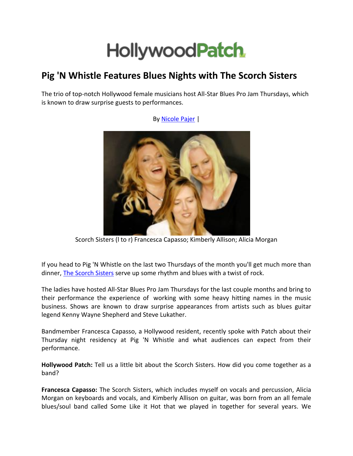## **HollywoodPatch**

## **Pig 'N Whistle Features Blues Nights with The Scorch Sisters**

The trio of top-notch Hollywood female musicians host All-Star Blues Pro Jam Thursdays, which is known to draw surprise guests to performances.



Scorch Sisters (l to r) Francesca Capasso; Kimberly Allison; Alicia Morgan

If you head to Pig 'N Whistle on the last two Thursdays of the month you'll get much more than dinner, [The Scorch Sisters](http://www.thescorchsisters.com/) serve up some rhythm and blues with a twist of rock.

The ladies have hosted All-Star Blues Pro Jam Thursdays for the last couple months and bring to their performance the experience of working with some heavy hitting names in the music business. Shows are known to draw surprise appearances from artists such as blues guitar legend Kenny Wayne Shepherd and Steve Lukather.

Bandmember Francesca Capasso, a Hollywood resident, recently spoke with Patch about their Thursday night residency at Pig 'N Whistle and what audiences can expect from their performance.

**Hollywood Patch:** Tell us a little bit about the Scorch Sisters. How did you come together as a band?

**Francesca Capasso:** The Scorch Sisters, which includes myself on vocals and percussion, Alicia Morgan on keyboards and vocals, and Kimberly Allison on guitar, was born from an all female blues/soul band called Some Like it Hot that we played in together for several years. We

By [Nicole Pajer](http://hollywood.patch.com/users/nicole-pajer) |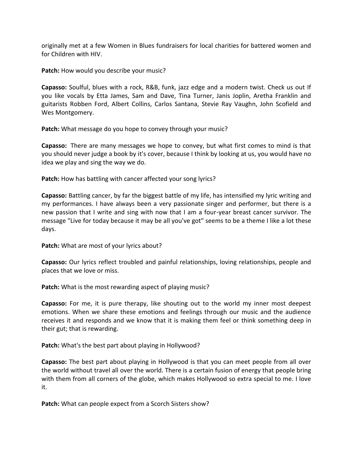originally met at a few Women in Blues fundraisers for local charities for battered women and for Children with HIV.

Patch: How would you describe your music?

**Capasso:** Soulful, blues with a rock, R&B, funk, jazz edge and a modern twist. Check us out If you like vocals by Etta James, Sam and Dave, Tina Turner, Janis Joplin, Aretha Franklin and guitarists Robben Ford, Albert Collins, Carlos Santana, Stevie Ray Vaughn, John Scofield and Wes Montgomery.

**Patch:** What message do you hope to convey through your music?

**Capasso:** There are many messages we hope to convey, but what first comes to mind is that you should never judge a book by it's cover, because I think by looking at us, you would have no idea we play and sing the way we do.

**Patch:** How has battling with cancer affected your song lyrics?

**Capasso:** Battling cancer, by far the biggest battle of my life, has intensified my lyric writing and my performances. I have always been a very passionate singer and performer, but there is a new passion that I write and sing with now that I am a four-year breast cancer survivor. The message "Live for today because it may be all you've got" seems to be a theme I like a lot these days.

**Patch:** What are most of your lyrics about?

**Capasso:** Our lyrics reflect troubled and painful relationships, loving relationships, people and places that we love or miss.

**Patch:** What is the most rewarding aspect of playing music?

**Capasso:** For me, it is pure therapy, like shouting out to the world my inner most deepest emotions. When we share these emotions and feelings through our music and the audience receives it and responds and we know that it is making them feel or think something deep in their gut; that is rewarding.

**Patch:** What's the best part about playing in Hollywood?

**Capasso:** The best part about playing in Hollywood is that you can meet people from all over the world without travel all over the world. There is a certain fusion of energy that people bring with them from all corners of the globe, which makes Hollywood so extra special to me. I love it.

**Patch:** What can people expect from a Scorch Sisters show?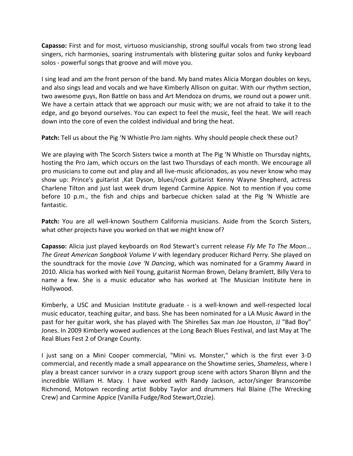**Capasso:** First and for most, virtuoso musicianship, strong soulful vocals from two strong lead singers, rich harmonies, soaring instrumentals with blistering guitar solos and funky keyboard solos - powerful songs that groove and will move you.

I sing lead and am the front person of the band. My band mates Alicia Morgan doubles on keys, and also sings lead and vocals and we have Kimberly Allison on guitar. With our rhythm section, two awesome guys, Ron Battle on bass and Art Mendoza on drums, we round out a power unit. We have a certain attack that we approach our music with; we are not afraid to take it to the edge, and go beyond ourselves. You can expect to feel the music, feel the heat. We will reach down into the core of even the coldest individual and bring the heat.

**Patch:** Tell us about the Pig 'N Whistle Pro Jam nights. Why should people check these out?

We are playing with The Scorch Sisters twice a month at The Pig 'N Whistle on Thursday nights, hosting the Pro Jam, which occurs on the last two Thursdays of each month. We encourage all pro musicians to come out and play and all live-music aficionados, as you never know who may show up: Prince's guitarist ,Kat Dyson, blues/rock guitarist Kenny Wayne Shepherd, actress Charlene Tilton and just last week drum legend Carmine Appice. Not to mention if you come before 10 p.m., the fish and chips and barbecue chicken salad at the Pig 'N Whistle are fantastic.

**Patch:** You are all well-known Southern California musicians. Aside from the Scorch Sisters, what other projects have you worked on that we might know of?

**Capasso:** Alicia just played keyboards on Rod Stewart's current release *Fly Me To The Moon*... *The Great American Songbook Volume V* with legendary producer Richard Perry. She played on the soundtrack for the movie *Love 'N Dancing*, which was nominated for a Grammy Award in 2010. Alicia has worked with Neil Young, guitarist Norman Brown, Delany Bramlett, Billy Vera to name a few. She is a music educator who has worked at The Musician Institute here in Hollywood.

Kimberly, a USC and Musician Institute graduate - is a well-known and well-respected local music educator, teaching guitar, and bass. She has been nominated for a LA Music Award in the past for her guitar work, she has played with The Shirelles Sax man Joe Houston, JJ "Bad Boy" Jones. In 2009 Kimberly wowed audiences at the Long Beach Blues Festival, and last May at The Real Blues Fest 2 of Orange County.

I just sang on a Mini Cooper commercial, "Mini vs. Monster," which is the first ever 3-D commercial, and recently made a small appearance on the Showtime series, *Shameless*, where I play a breast cancer survivor in a crazy support group scene with actors Sharon Blynn and the incredible William H. Macy. I have worked with Randy Jackson, actor/singer Branscombe Richmond, Motown recording artist Bobby Taylor and drummers Hal Blaine (The Wrecking Crew) and Carmine Appice (Vanilla Fudge/Rod Stewart,Ozzie).